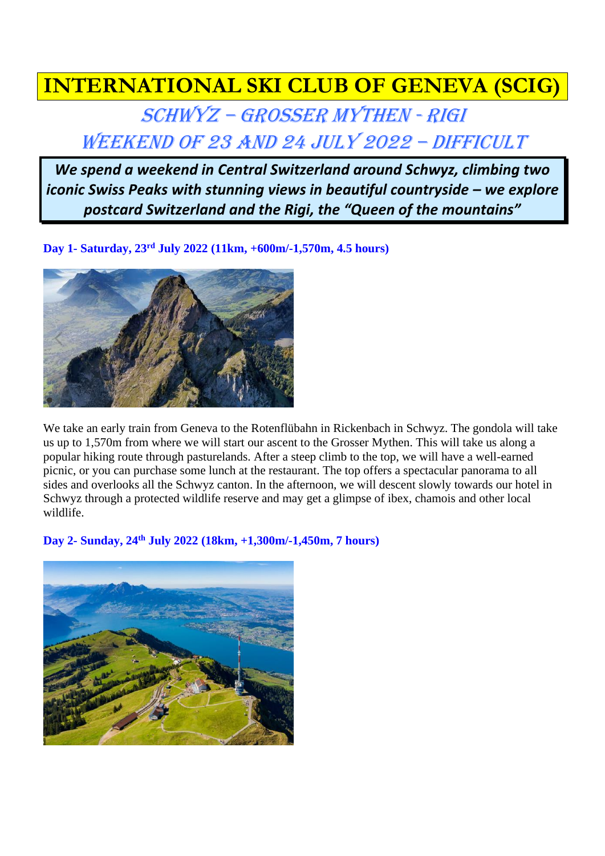## **INTERNATIONAL SKI CLUB OF GENEVA (SCIG)**

Schwyz – Grosser Mythen - Rigi Weekend of 23 and 24 July 2022 – Difficult

*We spend a weekend in Central Switzerland around Schwyz, climbing two iconic Swiss Peaks with stunning views in beautiful countryside – we explore postcard Switzerland and the Rigi, the "Queen of the mountains"*

**Day 1- Saturday, 23rd July 2022 (11km, +600m/-1,570m, 4.5 hours)** 



We take an early train from Geneva to the Rotenflübahn in Rickenbach in Schwyz. The gondola will take us up to 1,570m from where we will start our ascent to the Grosser Mythen. This will take us along a popular hiking route through pasturelands. After a steep climb to the top, we will have a well-earned picnic, or you can purchase some lunch at the restaurant. The top offers a spectacular panorama to all sides and overlooks all the Schwyz canton. In the afternoon, we will descent slowly towards our hotel in Schwyz through a protected wildlife reserve and may get a glimpse of ibex, chamois and other local wildlife.

**Day 2- Sunday, 24th July 2022 (18km, +1,300m/-1,450m, 7 hours)**